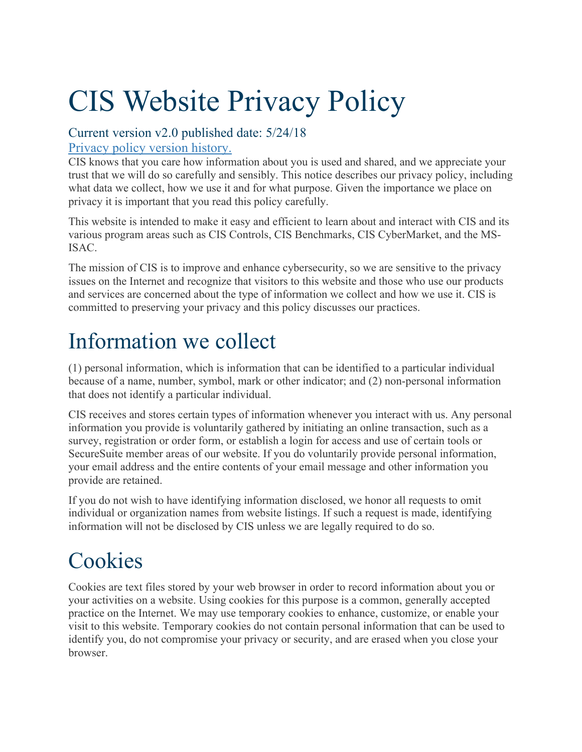# CIS Website Privacy Policy

### Current version v2.0 published date: 5/24/18

#### Privacy policy version history.

CIS knows that you care how information about you is used and shared, and we appreciate your trust that we will do so carefully and sensibly. This notice describes our privacy policy, including what data we collect, how we use it and for what purpose. Given the importance we place on privacy it is important that you read this policy carefully.

This website is intended to make it easy and efficient to learn about and interact with CIS and its various program areas such as CIS Controls, CIS Benchmarks, CIS CyberMarket, and the MS-ISAC.

The mission of CIS is to improve and enhance cybersecurity, so we are sensitive to the privacy issues on the Internet and recognize that visitors to this website and those who use our products and services are concerned about the type of information we collect and how we use it. CIS is committed to preserving your privacy and this policy discusses our practices.

# Information we collect

(1) personal information, which is information that can be identified to a particular individual because of a name, number, symbol, mark or other indicator; and (2) non-personal information that does not identify a particular individual.

CIS receives and stores certain types of information whenever you interact with us. Any personal information you provide is voluntarily gathered by initiating an online transaction, such as a survey, registration or order form, or establish a login for access and use of certain tools or SecureSuite member areas of our website. If you do voluntarily provide personal information, your email address and the entire contents of your email message and other information you provide are retained.

If you do not wish to have identifying information disclosed, we honor all requests to omit individual or organization names from website listings. If such a request is made, identifying information will not be disclosed by CIS unless we are legally required to do so.

## **Cookies**

Cookies are text files stored by your web browser in order to record information about you or your activities on a website. Using cookies for this purpose is a common, generally accepted practice on the Internet. We may use temporary cookies to enhance, customize, or enable your visit to this website. Temporary cookies do not contain personal information that can be used to identify you, do not compromise your privacy or security, and are erased when you close your browser.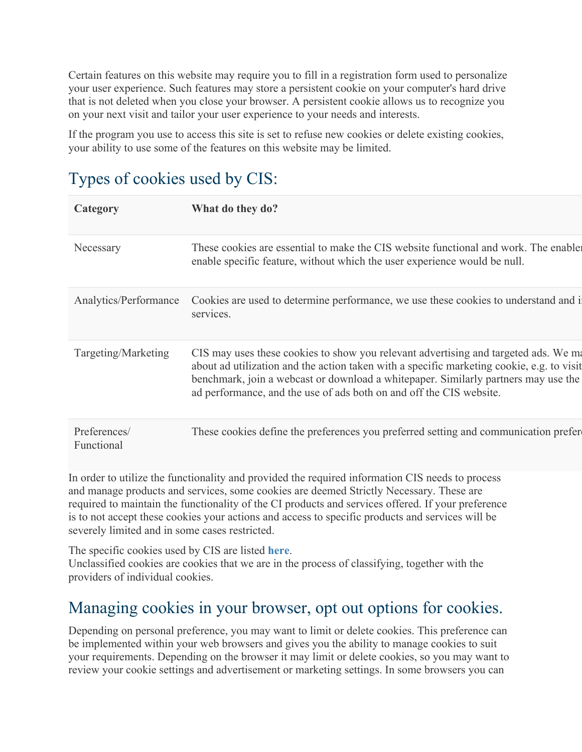Certain features on this website may require you to fill in a registration form used to personalize your user experience. Such features may store a persistent cookie on your computer's hard drive that is not deleted when you close your browser. A persistent cookie allows us to recognize you on your next visit and tailor your user experience to your needs and interests.

If the program you use to access this site is set to refuse new cookies or delete existing cookies, your ability to use some of the features on this website may be limited.

| $\frac{1}{2}$ , pos of cookies asea $\sigma$ , one. |                                                                                                                                                                                                                                                                                                                                               |
|-----------------------------------------------------|-----------------------------------------------------------------------------------------------------------------------------------------------------------------------------------------------------------------------------------------------------------------------------------------------------------------------------------------------|
| Category                                            | What do they do?                                                                                                                                                                                                                                                                                                                              |
| Necessary                                           | These cookies are essential to make the CIS website functional and work. The enable<br>enable specific feature, without which the user experience would be null.                                                                                                                                                                              |
| Analytics/Performance                               | Cookies are used to determine performance, we use these cookies to understand and i<br>services.                                                                                                                                                                                                                                              |
| Targeting/Marketing                                 | CIS may uses these cookies to show you relevant advertising and targeted ads. We ma<br>about ad utilization and the action taken with a specific marketing cookie, e.g. to visit<br>benchmark, join a webcast or download a whitepaper. Similarly partners may use the<br>ad performance, and the use of ads both on and off the CIS website. |
| Preferences/<br>Functional                          | These cookies define the preferences you preferred setting and communication prefer                                                                                                                                                                                                                                                           |

### Types of cookies used by  $CIS$ .

In order to utilize the functionality and provided the required information CIS needs to process and manage products and services, some cookies are deemed Strictly Necessary. These are required to maintain the functionality of the CI products and services offered. If your preference is to not accept these cookies your actions and access to specific products and services will be severely limited and in some cases restricted.

The specific cookies used by CIS are listed **here**. Unclassified cookies are cookies that we are in the process of classifying, together with the providers of individual cookies.

### Managing cookies in your browser, opt out options for cookies.

Depending on personal preference, you may want to limit or delete cookies. This preference can be implemented within your web browsers and gives you the ability to manage cookies to suit your requirements. Depending on the browser it may limit or delete cookies, so you may want to review your cookie settings and advertisement or marketing settings. In some browsers you can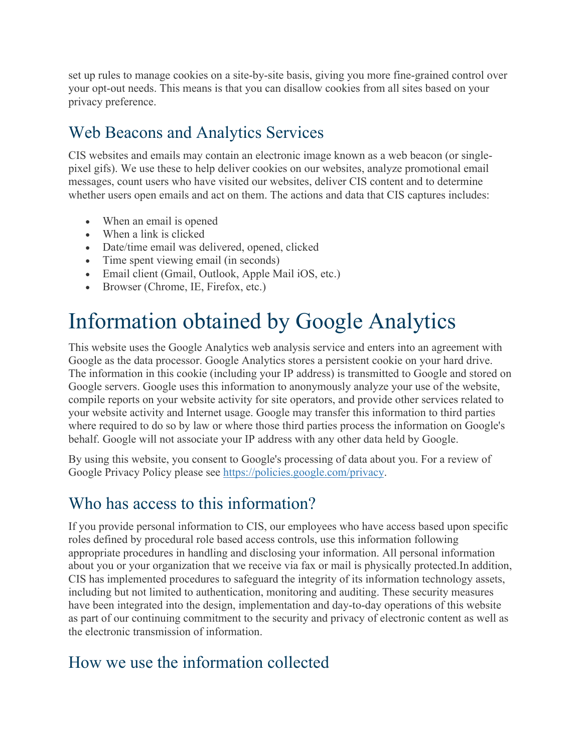set up rules to manage cookies on a site-by-site basis, giving you more fine-grained control over your opt-out needs. This means is that you can disallow cookies from all sites based on your privacy preference.

### Web Beacons and Analytics Services

CIS websites and emails may contain an electronic image known as a web beacon (or singlepixel gifs). We use these to help deliver cookies on our websites, analyze promotional email messages, count users who have visited our websites, deliver CIS content and to determine whether users open emails and act on them. The actions and data that CIS captures includes:

- When an email is opened
- When a link is clicked
- Date/time email was delivered, opened, clicked
- Time spent viewing email (in seconds)
- Email client (Gmail, Outlook, Apple Mail iOS, etc.)
- Browser (Chrome, IE, Firefox, etc.)

### Information obtained by Google Analytics

This website uses the Google Analytics web analysis service and enters into an agreement with Google as the data processor. Google Analytics stores a persistent cookie on your hard drive. The information in this cookie (including your IP address) is transmitted to Google and stored on Google servers. Google uses this information to anonymously analyze your use of the website, compile reports on your website activity for site operators, and provide other services related to your website activity and Internet usage. Google may transfer this information to third parties where required to do so by law or where those third parties process the information on Google's behalf. Google will not associate your IP address with any other data held by Google.

By using this website, you consent to Google's processing of data about you. For a review of Google Privacy Policy please see https://policies.google.com/privacy.

#### Who has access to this information?

If you provide personal information to CIS, our employees who have access based upon specific roles defined by procedural role based access controls, use this information following appropriate procedures in handling and disclosing your information. All personal information about you or your organization that we receive via fax or mail is physically protected.In addition, CIS has implemented procedures to safeguard the integrity of its information technology assets, including but not limited to authentication, monitoring and auditing. These security measures have been integrated into the design, implementation and day-to-day operations of this website as part of our continuing commitment to the security and privacy of electronic content as well as the electronic transmission of information.

### How we use the information collected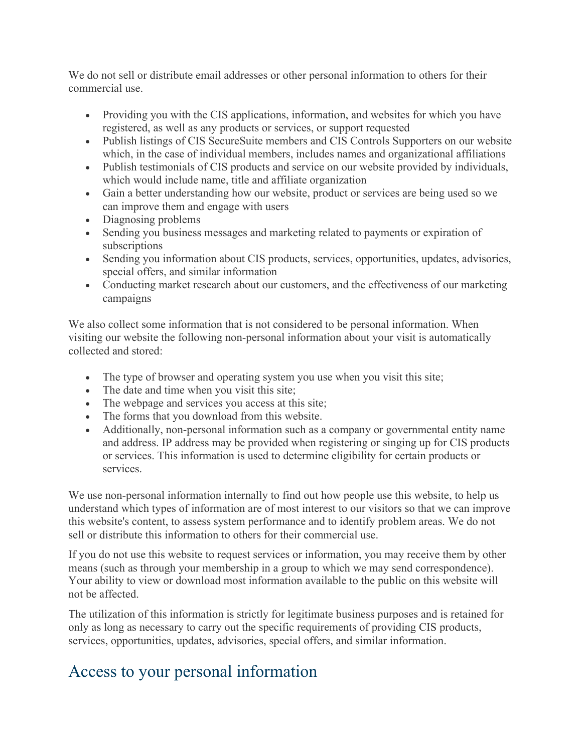We do not sell or distribute email addresses or other personal information to others for their commercial use.

- Providing you with the CIS applications, information, and websites for which you have registered, as well as any products or services, or support requested
- Publish listings of CIS SecureSuite members and CIS Controls Supporters on our website which, in the case of individual members, includes names and organizational affiliations
- Publish testimonials of CIS products and service on our website provided by individuals, which would include name, title and affiliate organization
- Gain a better understanding how our website, product or services are being used so we can improve them and engage with users
- Diagnosing problems
- Sending you business messages and marketing related to payments or expiration of subscriptions
- Sending you information about CIS products, services, opportunities, updates, advisories, special offers, and similar information
- Conducting market research about our customers, and the effectiveness of our marketing campaigns

We also collect some information that is not considered to be personal information. When visiting our website the following non-personal information about your visit is automatically collected and stored:

- The type of browser and operating system you use when you visit this site;
- The date and time when you visit this site;
- The webpage and services you access at this site;
- The forms that you download from this website.
- Additionally, non-personal information such as a company or governmental entity name and address. IP address may be provided when registering or singing up for CIS products or services. This information is used to determine eligibility for certain products or services.

We use non-personal information internally to find out how people use this website, to help us understand which types of information are of most interest to our visitors so that we can improve this website's content, to assess system performance and to identify problem areas. We do not sell or distribute this information to others for their commercial use.

If you do not use this website to request services or information, you may receive them by other means (such as through your membership in a group to which we may send correspondence). Your ability to view or download most information available to the public on this website will not be affected.

The utilization of this information is strictly for legitimate business purposes and is retained for only as long as necessary to carry out the specific requirements of providing CIS products, services, opportunities, updates, advisories, special offers, and similar information.

### Access to your personal information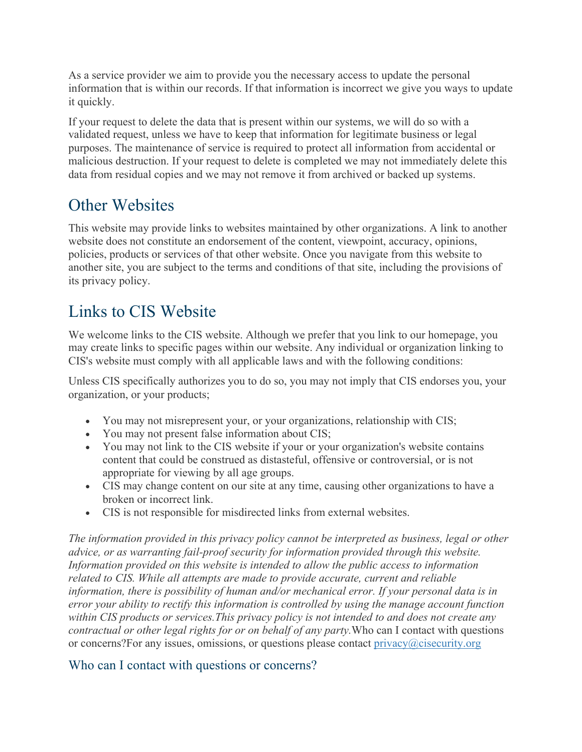As a service provider we aim to provide you the necessary access to update the personal information that is within our records. If that information is incorrect we give you ways to update it quickly.

If your request to delete the data that is present within our systems, we will do so with a validated request, unless we have to keep that information for legitimate business or legal purposes. The maintenance of service is required to protect all information from accidental or malicious destruction. If your request to delete is completed we may not immediately delete this data from residual copies and we may not remove it from archived or backed up systems.

### Other Websites

This website may provide links to websites maintained by other organizations. A link to another website does not constitute an endorsement of the content, viewpoint, accuracy, opinions, policies, products or services of that other website. Once you navigate from this website to another site, you are subject to the terms and conditions of that site, including the provisions of its privacy policy.

### Links to CIS Website

We welcome links to the CIS website. Although we prefer that you link to our homepage, you may create links to specific pages within our website. Any individual or organization linking to CIS's website must comply with all applicable laws and with the following conditions:

Unless CIS specifically authorizes you to do so, you may not imply that CIS endorses you, your organization, or your products;

- You may not misrepresent your, or your organizations, relationship with CIS;
- You may not present false information about CIS;
- You may not link to the CIS website if your or your organization's website contains content that could be construed as distasteful, offensive or controversial, or is not appropriate for viewing by all age groups.
- CIS may change content on our site at any time, causing other organizations to have a broken or incorrect link.
- CIS is not responsible for misdirected links from external websites.

*The information provided in this privacy policy cannot be interpreted as business, legal or other advice, or as warranting fail-proof security for information provided through this website. Information provided on this website is intended to allow the public access to information related to CIS. While all attempts are made to provide accurate, current and reliable information, there is possibility of human and/or mechanical error. If your personal data is in error your ability to rectify this information is controlled by using the manage account function within CIS products or services.This privacy policy is not intended to and does not create any contractual or other legal rights for or on behalf of any party.*Who can I contact with questions or concerns? For any issues, omissions, or questions please contact  $\text{privacy}(a)$  cisecurity.org

#### Who can I contact with questions or concerns?